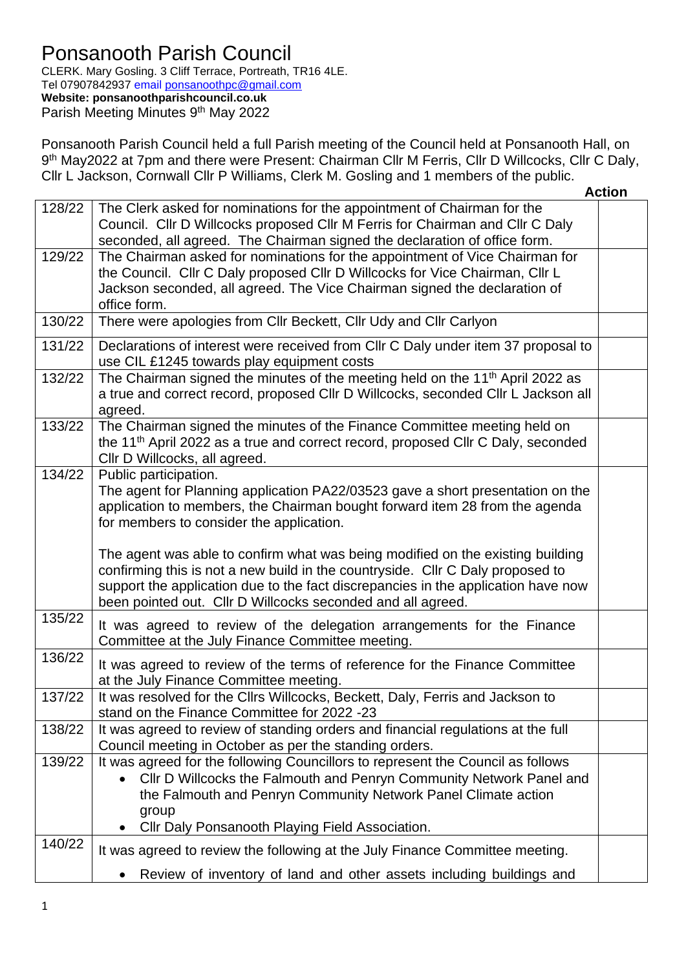## Ponsanooth Parish Council

CLERK. Mary Gosling. 3 Cliff Terrace, Portreath, TR16 4LE. Tel 07907842937 email [ponsanoothpc@gmail.com](mailto:ponsanoothpc@gmail.com) **Website: ponsanoothparishcouncil.co.uk** Parish Meeting Minutes 9<sup>th</sup> May 2022

Ponsanooth Parish Council held a full Parish meeting of the Council held at Ponsanooth Hall, on 9<sup>th</sup> May2022 at 7pm and there were Present: Chairman Cllr M Ferris, Cllr D Willcocks, Cllr C Daly, Cllr L Jackson, Cornwall Cllr P Williams, Clerk M. Gosling and 1 members of the public.

|        |                                                                                                                                                                                                                                                                                                                      | <b>Action</b> |
|--------|----------------------------------------------------------------------------------------------------------------------------------------------------------------------------------------------------------------------------------------------------------------------------------------------------------------------|---------------|
| 128/22 | The Clerk asked for nominations for the appointment of Chairman for the<br>Council. Cllr D Willcocks proposed Cllr M Ferris for Chairman and Cllr C Daly<br>seconded, all agreed. The Chairman signed the declaration of office form.                                                                                |               |
| 129/22 | The Chairman asked for nominations for the appointment of Vice Chairman for<br>the Council. Cllr C Daly proposed Cllr D Willcocks for Vice Chairman, Cllr L<br>Jackson seconded, all agreed. The Vice Chairman signed the declaration of<br>office form.                                                             |               |
| 130/22 | There were apologies from Cllr Beckett, Cllr Udy and Cllr Carlyon                                                                                                                                                                                                                                                    |               |
| 131/22 | Declarations of interest were received from Cllr C Daly under item 37 proposal to<br>use CIL £1245 towards play equipment costs                                                                                                                                                                                      |               |
| 132/22 | The Chairman signed the minutes of the meeting held on the 11 <sup>th</sup> April 2022 as<br>a true and correct record, proposed Cllr D Willcocks, seconded Cllr L Jackson all<br>agreed.                                                                                                                            |               |
| 133/22 | The Chairman signed the minutes of the Finance Committee meeting held on<br>the 11 <sup>th</sup> April 2022 as a true and correct record, proposed Cllr C Daly, seconded<br>Cllr D Willcocks, all agreed.                                                                                                            |               |
| 134/22 | Public participation.<br>The agent for Planning application PA22/03523 gave a short presentation on the<br>application to members, the Chairman bought forward item 28 from the agenda<br>for members to consider the application.                                                                                   |               |
|        | The agent was able to confirm what was being modified on the existing building<br>confirming this is not a new build in the countryside. Cllr C Daly proposed to<br>support the application due to the fact discrepancies in the application have now<br>been pointed out. Cllr D Willcocks seconded and all agreed. |               |
| 135/22 | It was agreed to review of the delegation arrangements for the Finance<br>Committee at the July Finance Committee meeting.                                                                                                                                                                                           |               |
| 136/22 | It was agreed to review of the terms of reference for the Finance Committee<br>at the July Finance Committee meeting.                                                                                                                                                                                                |               |
| 137/22 | It was resolved for the Cllrs Willcocks, Beckett, Daly, Ferris and Jackson to<br>stand on the Finance Committee for 2022 -23                                                                                                                                                                                         |               |
| 138/22 | It was agreed to review of standing orders and financial regulations at the full<br>Council meeting in October as per the standing orders.                                                                                                                                                                           |               |
| 139/22 | It was agreed for the following Councillors to represent the Council as follows<br>Cllr D Willcocks the Falmouth and Penryn Community Network Panel and<br>the Falmouth and Penryn Community Network Panel Climate action<br>group<br>Cllr Daly Ponsanooth Playing Field Association.                                |               |
| 140/22 | It was agreed to review the following at the July Finance Committee meeting.<br>Review of inventory of land and other assets including buildings and<br>$\bullet$                                                                                                                                                    |               |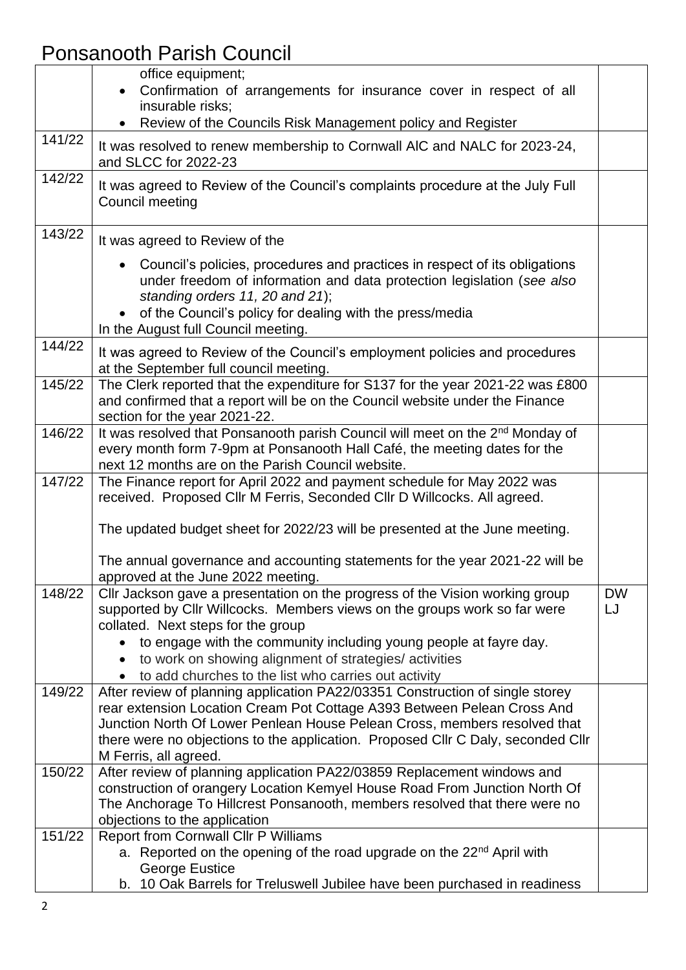## Ponsanooth Parish Council

|        | office equipment;<br>Confirmation of arrangements for insurance cover in respect of all<br>insurable risks;                                                                                                                                                                                                                                                                           |                 |
|--------|---------------------------------------------------------------------------------------------------------------------------------------------------------------------------------------------------------------------------------------------------------------------------------------------------------------------------------------------------------------------------------------|-----------------|
|        | Review of the Councils Risk Management policy and Register                                                                                                                                                                                                                                                                                                                            |                 |
| 141/22 | It was resolved to renew membership to Cornwall AIC and NALC for 2023-24,<br>and SLCC for 2022-23                                                                                                                                                                                                                                                                                     |                 |
| 142/22 | It was agreed to Review of the Council's complaints procedure at the July Full<br>Council meeting                                                                                                                                                                                                                                                                                     |                 |
| 143/22 | It was agreed to Review of the                                                                                                                                                                                                                                                                                                                                                        |                 |
|        | Council's policies, procedures and practices in respect of its obligations<br>under freedom of information and data protection legislation (see also<br>standing orders 11, 20 and 21);<br>of the Council's policy for dealing with the press/media<br>In the August full Council meeting.                                                                                            |                 |
| 144/22 | It was agreed to Review of the Council's employment policies and procedures<br>at the September full council meeting.                                                                                                                                                                                                                                                                 |                 |
| 145/22 | The Clerk reported that the expenditure for S137 for the year 2021-22 was £800<br>and confirmed that a report will be on the Council website under the Finance<br>section for the year 2021-22.                                                                                                                                                                                       |                 |
| 146/22 | It was resolved that Ponsanooth parish Council will meet on the 2 <sup>nd</sup> Monday of<br>every month form 7-9pm at Ponsanooth Hall Café, the meeting dates for the<br>next 12 months are on the Parish Council website.                                                                                                                                                           |                 |
| 147/22 | The Finance report for April 2022 and payment schedule for May 2022 was<br>received. Proposed Cllr M Ferris, Seconded Cllr D Willcocks. All agreed.<br>The updated budget sheet for 2022/23 will be presented at the June meeting.                                                                                                                                                    |                 |
|        | The annual governance and accounting statements for the year 2021-22 will be<br>approved at the June 2022 meeting.                                                                                                                                                                                                                                                                    |                 |
| 148/22 | Cllr Jackson gave a presentation on the progress of the Vision working group<br>supported by Cllr Willcocks. Members views on the groups work so far were<br>collated. Next steps for the group<br>to engage with the community including young people at fayre day.<br>to work on showing alignment of strategies/activities<br>to add churches to the list who carries out activity | <b>DW</b><br>LJ |
| 149/22 | After review of planning application PA22/03351 Construction of single storey<br>rear extension Location Cream Pot Cottage A393 Between Pelean Cross And<br>Junction North Of Lower Penlean House Pelean Cross, members resolved that<br>there were no objections to the application. Proposed Cllr C Daly, seconded Cllr<br>M Ferris, all agreed.                                    |                 |
| 150/22 | After review of planning application PA22/03859 Replacement windows and<br>construction of orangery Location Kemyel House Road From Junction North Of<br>The Anchorage To Hillcrest Ponsanooth, members resolved that there were no<br>objections to the application                                                                                                                  |                 |
| 151/22 | Report from Cornwall Cllr P Williams<br>a. Reported on the opening of the road upgrade on the 22 <sup>nd</sup> April with<br>George Eustice<br>b. 10 Oak Barrels for Treluswell Jubilee have been purchased in readiness                                                                                                                                                              |                 |